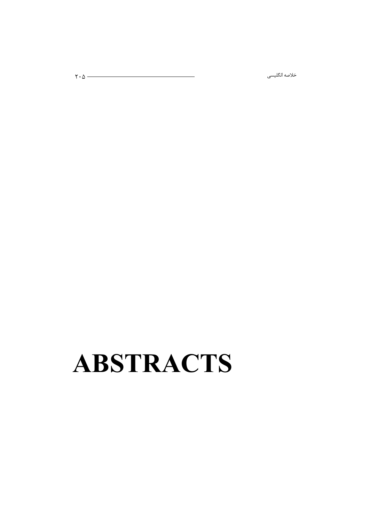# **ABSTRACTS**

ى كىلىسى ھەر ئاكىلىسى ھەر ئاكىسى ھەر ئاكىلار ئاكىلار ئاكىلار ئاكىلار ئاكىلار ئاكىلار ئاكىلار ئاكىلار ئاكىلار ئ<br>كىلار ئاكىلار ئاكىلار ئاكىلار ئاكىلار ئاكىلار ئاكىلار ئاكىلار ئاكىلار ئاكىلار ئاكىلار ئاكىلار ئاكىلار ئاكىلار

خلاصه انگلیسی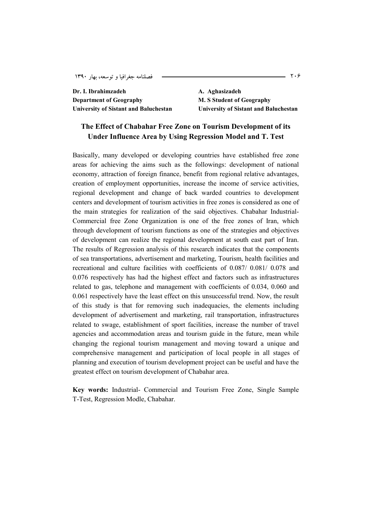**Dr. I. Ibrahimzadeh A. Aghasizadeh Department of Geography M. S Student of Geography** 

**University of Sistant and Baluchestan University of Sistant and Baluchestan** 

## **The Effect of Chabahar Free Zone on Tourism Development of its Under Influence Area by Using Regression Model and T. Test**

Basically, many developed or developing countries have established free zone areas for achieving the aims such as the followings: development of national economy, attraction of foreign finance, benefit from regional relative advantages, creation of employment opportunities, increase the income of service activities, regional development and change of back warded countries to development centers and development of tourism activities in free zones is considered as one of the main strategies for realization of the said objectives. Chabahar Industrial-Commercial free Zone Organization is one of the free zones of Iran, which through development of tourism functions as one of the strategies and objectives of development can realize the regional development at south east part of Iran. The results of Regression analysis of this research indicates that the components of sea transportations, advertisement and marketing, Tourism, health facilities and recreational and culture facilities with coefficients of 0.087/ 0.081/ 0.078 and 0.076 respectively has had the highest effect and factors such as infrastructures related to gas, telephone and management with coefficients of 0.034, 0.060 and 0.061 respectively have the least effect on this unsuccessful trend. Now, the result of this study is that for removing such inadequacies, the elements including development of advertisement and marketing, rail transportation, infrastructures related to swage, establishment of sport facilities, increase the number of travel agencies and accommodation areas and tourism guide in the future, mean while changing the regional tourism management and moving toward a unique and comprehensive management and participation of local people in all stages of planning and execution of tourism development project can be useful and have the greatest effect on tourism development of Chabahar area.

**Key words:** Industrial- Commercial and Tourism Free Zone, Single Sample T-Test, Regression Modle, Chabahar.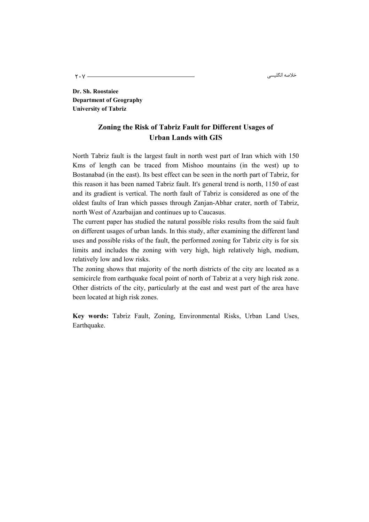مىسى كىلىسى ئارىلىكى كىلەت كىلەت كىلەت كىلەت كىلەت كىلەت كىلەت كىلەت كىلەت كىلەت كىلەت كىلەت كىلەت كىلەت كىلەت<br>مەمۇرى كىلەت كىلەت كىلەت كىلەت كىلەت كىلەت كىلەت كىلەت كىلەت كىلەت كىلەت كىلەت كىلەت كىلەت كىلەت كىلەت كىلەت ك خلاصه انگليسي

**Dr. Sh. Roostaiee Department of Geography University of Tabriz** 

## **Zoning the Risk of Tabriz Fault for Different Usages of Urban Lands with GIS**

North Tabriz fault is the largest fault in north west part of Iran which with 150 Kms of length can be traced from Mishoo mountains (in the west) up to Bostanabad (in the east). Its best effect can be seen in the north part of Tabriz, for this reason it has been named Tabriz fault. It's general trend is north, 1150 of east and its gradient is vertical. The north fault of Tabriz is considered as one of the oldest faults of Iran which passes through Zanjan-Abhar crater, north of Tabriz, north West of Azarbaijan and continues up to Caucasus.

The current paper has studied the natural possible risks results from the said fault on different usages of urban lands. In this study, after examining the different land uses and possible risks of the fault, the performed zoning for Tabriz city is for six limits and includes the zoning with very high, high relatively high, medium, relatively low and low risks.

The zoning shows that majority of the north districts of the city are located as a semicircle from earthquake focal point of north of Tabriz at a very high risk zone. Other districts of the city, particularly at the east and west part of the area have been located at high risk zones.

**Key words:** Tabriz Fault, Zoning, Environmental Risks, Urban Land Uses, Earthquake.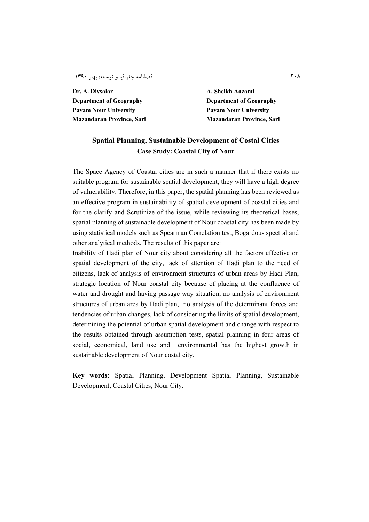**Dr. A. Divsalar A. Sheikh Aazami Department of Geography Department of Geography Payam Nour University Payam Nour University** 

**Mazandaran Province, Sari Mazandaran Province, Sari Mazandaran Province, Sari** *Mazandaran* **Province, Sari** 

## **Spatial Planning, Sustainable Development of Costal Cities Case Study: Coastal City of Nour**

The Space Agency of Coastal cities are in such a manner that if there exists no suitable program for sustainable spatial development, they will have a high degree of vulnerability. Therefore, in this paper, the spatial planning has been reviewed as an effective program in sustainability of spatial development of coastal cities and for the clarify and Scrutinize of the issue, while reviewing its theoretical bases, spatial planning of sustainable development of Nour coastal city has been made by using statistical models such as Spearman Correlation test, Bogardous spectral and other analytical methods. The results of this paper are:

Inability of Hadi plan of Nour city about considering all the factors effective on spatial development of the city, lack of attention of Hadi plan to the need of citizens, lack of analysis of environment structures of urban areas by Hadi Plan, strategic location of Nour coastal city because of placing at the confluence of water and drought and having passage way situation, no analysis of environment structures of urban area by Hadi plan, no analysis of the determinant forces and tendencies of urban changes, lack of considering the limits of spatial development, determining the potential of urban spatial development and change with respect to the results obtained through assumption tests, spatial planning in four areas of social, economical, land use and environmental has the highest growth in sustainable development of Nour costal city.

**Key words:** Spatial Planning, Development Spatial Planning, Sustainable Development, Coastal Cities, Nour City.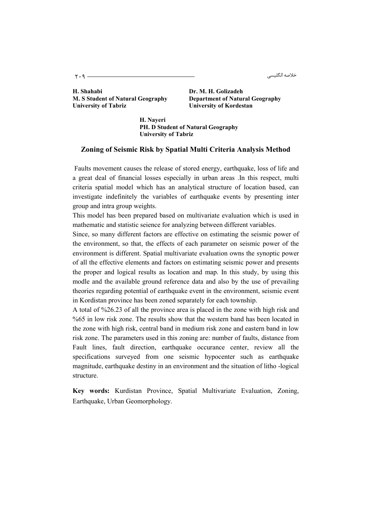مى كىلىسى ئارىسى بىر ئارىسى بىر ئارىسى بىر ئارىسى بىر كىلەن ئارىسى ئارىسى بىر ئارىسى ئارىسى ئارىسى ئ خلاصه انگليسي

**H. Shahabi Dr. M. H. Golizadeh M. S Student of Natural Geography Department of Natural Geography**  University of Tabriz **University of Kordestan** 

**H. Nayeri PH. D Student of Natural Geography University of Tabriz** 

#### **Zoning of Seismic Risk by Spatial Multi Criteria Analysis Method**

Faults movement causes the release of stored energy, earthquake, loss of life and a great deal of financial losses especially in urban areas .In this respect, multi criteria spatial model which has an analytical structure of location based, can investigate indefinitely the variables of earthquake events by presenting inter group and intra group weights.

This model has been prepared based on multivariate evaluation which is used in mathematic and statistic seience for analyzing between different variables.

Since, so many different factors are effective on estimating the seismic power of the environment, so that, the effects of each parameter on seismic power of the environment is different. Spatial multivariate evaluation owns the synoptic power of all the effective elements and factors on estimating seismic power and presents the proper and logical results as location and map. In this study, by using this modle and the available ground reference data and also by the use of prevailing theories regarding potential of earthquake event in the environment, seismic event in Kordistan province has been zoned separately for each township.

A total of %26.23 of all the province area is placed in the zone with high risk and %65 in low risk zone. The results show that the western band has been located in the zone with high risk, central band in medium risk zone and eastern band in low risk zone. The parameters used in this zoning are: number of faults, distance from Fault lines, fault direction, earthquake occurance center, review all the specifications surveyed from one seismic hypocenter such as earthquake magnitude, earthquake destiny in an environment and the situation of litho -logical structure.

**Key words:** Kurdistan Province, Spatial Multivariate Evaluation, Zoning, Earthquake, Urban Geomorphology.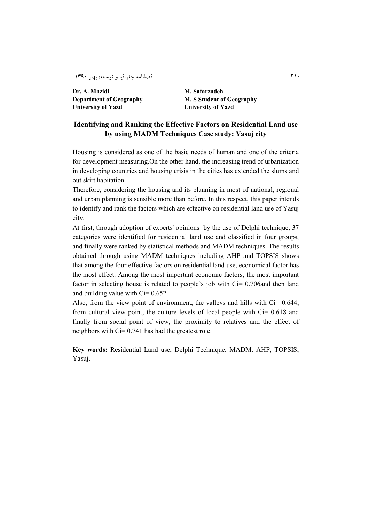Dr. A. Mazidi **M. Safarzadeh University of Yazd University of Yazd** 

**Department of Geography M. S Student of Geography** 

#### **Identifying and Ranking the Effective Factors on Residential Land use by using MADM Techniques Case study: Yasuj city**

Housing is considered as one of the basic needs of human and one of the criteria for development measuring.On the other hand, the increasing trend of urbanization in developing countries and housing crisis in the cities has extended the slums and out skirt habitation.

Therefore, considering the housing and its planning in most of national, regional and urban planning is sensible more than before. In this respect, this paper intends to identify and rank the factors which are effective on residential land use of Yasuj city.

At first, through adoption of experts' opinions by the use of Delphi technique, 37 categories were identified for residential land use and classified in four groups, and finally were ranked by statistical methods and MADM techniques. The results obtained through using MADM techniques including AHP and TOPSIS shows that among the four effective factors on residential land use, economical factor has the most effect. Among the most important economic factors, the most important factor in selecting house is related to people's job with Ci= 0.706and then land and building value with  $Ci = 0.652$ .

Also, from the view point of environment, the valleys and hills with  $Ci = 0.644$ , from cultural view point, the culture levels of local people with Ci= 0.618 and finally from social point of view, the proximity to relatives and the effect of neighbors with Ci= 0.741 has had the greatest role.

**Key words:** Residential Land use, Delphi Technique, MADM. AHP, TOPSIS, Yasuj.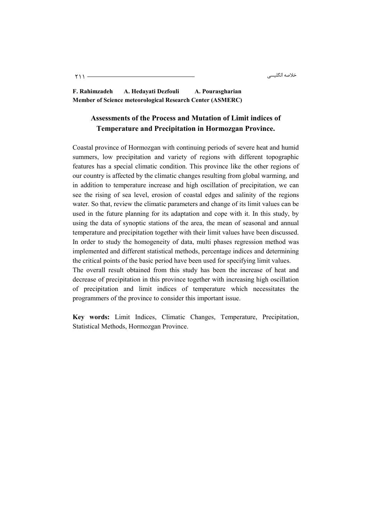لى المسلم المسلم المسلم المسلم المسلم المسلم المسلم المسلم المسلم المسلم المسلم المسلم المسلم المسلم المسلم ال<br>ويسلم المسلم المسلم المسلم المسلم المسلم المسلم المسلم المسلم المسلم المسلم المسلم المسلم المسلم المسلم المسلم خلاصه انگليسي

**F. Rahimzadeh A. Hedayati Dezfouli A. Pourasgharian Member of Science meteorological Research Center (ASMERC)** 

# **Assessments of the Process and Mutation of Limit indices of Temperature and Precipitation in Hormozgan Province.**

Coastal province of Hormozgan with continuing periods of severe heat and humid summers, low precipitation and variety of regions with different topographic features has a special climatic condition. This province like the other regions of our country is affected by the climatic changes resulting from global warming, and in addition to temperature increase and high oscillation of precipitation, we can see the rising of sea level, erosion of coastal edges and salinity of the regions water. So that, review the climatic parameters and change of its limit values can be used in the future planning for its adaptation and cope with it. In this study, by using the data of synoptic stations of the area, the mean of seasonal and annual temperature and precipitation together with their limit values have been discussed. In order to study the homogeneity of data, multi phases regression method was implemented and different statistical methods, percentage indices and determining the critical points of the basic period have been used for specifying limit values.

The overall result obtained from this study has been the increase of heat and decrease of precipitation in this province together with increasing high oscillation of precipitation and limit indices of temperature which necessitates the programmers of the province to consider this important issue.

**Key words:** Limit Indices, Climatic Changes, Temperature, Precipitation, Statistical Methods, Hormozgan Province.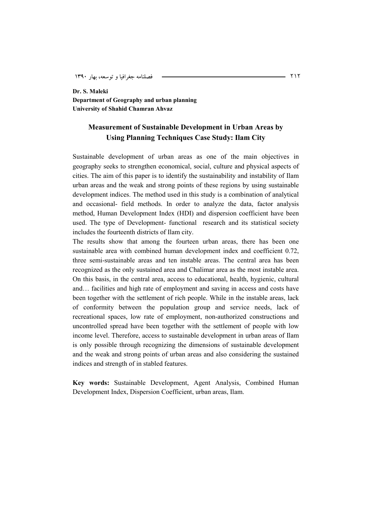**Dr. S. Maleki Department of Geography and urban planning University of Shahid Chamran Ahvaz** 

#### **Measurement of Sustainable Development in Urban Areas by Using Planning Techniques Case Study: Ilam City**

Sustainable development of urban areas as one of the main objectives in geography seeks to strengthen economical, social, culture and physical aspects of cities. The aim of this paper is to identify the sustainability and instability of Ilam urban areas and the weak and strong points of these regions by using sustainable development indices. The method used in this study is a combination of analytical and occasional- field methods. In order to analyze the data, factor analysis method, Human Development Index (HDI) and dispersion coefficient have been used. The type of Development- functional research and its statistical society includes the fourteenth districts of Ilam city.

The results show that among the fourteen urban areas, there has been one sustainable area with combined human development index and coefficient 0.72, three semi-sustainable areas and ten instable areas. The central area has been recognized as the only sustained area and Chalimar area as the most instable area. On this basis, in the central area, access to educational, health, hygienic, cultural and… facilities and high rate of employment and saving in access and costs have been together with the settlement of rich people. While in the instable areas, lack of conformity between the population group and service needs, lack of recreational spaces, low rate of employment, non-authorized constructions and uncontrolled spread have been together with the settlement of people with low income level. Therefore, access to sustainable development in urban areas of Ilam is only possible through recognizing the dimensions of sustainable development and the weak and strong points of urban areas and also considering the sustained indices and strength of in stabled features.

**Key words:** Sustainable Development, Agent Analysis, Combined Human Development Index, Dispersion Coefficient, urban areas, Ilam.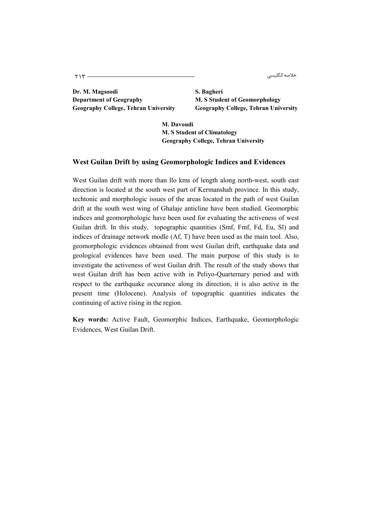ىقىسى ئاللىسى ئالغان ئالى ئالغان ئالغان ئىستان ئالغان ئالغان ئالغان ئالغان ئالغان ئالغان ئالغان ئالغان ئالغان <br>مارسا ئالغان ئالغان ئالغان ئالغان ئالغان ئالغان ئالغان ئالغان ئالغان ئالغان ئالغان ئالغان ئالغان ئالغان ئالغان خلاصه انگليسي

**Dr. M. Magsoodi S. Bagheri Department of Geography M. S Student of Geomorphology** 

**Geography College, Tehran University Geography College, Tehran University** 

**M. Davoudi M. S Student of Climatology Geography College, Tehran University** 

#### **West Guilan Drift by using Geomorphologic Indices and Evidences**

West Guilan drift with more than llo kms of length along north-west, south east direction is located at the south west part of Kermanshah province. In this study, techtonic and morphologic issues of the areas located in the path of west Guilan drift at the south west wing of Ghalaje anticline have been studied. Geomorphic indices and geomorphologic have been used for evaluating the activeness of west Guilan drift. In this study, topographic quantities (Smf, Fmf, Fd, Eu, Sl) and indices of drainage network modle (Af, T) have been used as the main tool. Also, geomorphologic evidences obtained from west Guilan drift, earthquake data and geological evidences have been used. The main purpose of this study is to investigate the activeness of west Guilan drift. The result of the study shows that west Guilan drift has been active with in Peliyo-Quarternary period and with respect to the earthquake occurance along its direction, it is also active in the present time (Holocene). Analysis of topographic quantities indicates the continuing of active rising in the region.

**Key words:** Active Fault, Geomorphic Indices, Earthquake, Geomorphologic Evidences, West Guilan Drift.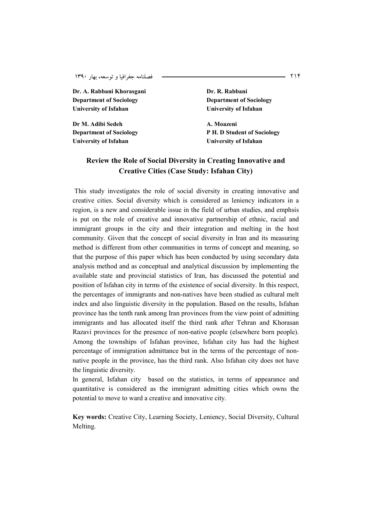Dr. A. Rabbani Khorasgani **Dr. R. Rabbani Department of Sociology Department of Sociology University of Isfahan University of Isfahan** 

**Dr M. Adibi Sedeh A. Moazeni University of Isfahan University of Isfahan** 

**Department of Sociology P H. D Student of Sociology** 

# **Review the Role of Social Diversity in Creating Innovative and Creative Cities (Case Study: Isfahan City)**

This study investigates the role of social diversity in creating innovative and creative cities. Social diversity which is considered as leniency indicators in a region, is a new and considerable issue in the field of urban studies, and emphsis is put on the role of creative and innovative partnership of ethnic, racial and immigrant groups in the city and their integration and melting in the host community. Given that the concept of social diversity in Iran and its measuring method is different from other communities in terms of concept and meaning, so that the purpose of this paper which has been conducted by using secondary data analysis method and as conceptual and analytical discussion by implementing the available state and provincial statistics of Iran, has discussed the potential and position of Isfahan city in terms of the existence of social diversity. In this respect, the percentages of immigrants and non-natives have been studied as cultural melt index and also linguistic diversity in the population. Based on the results, Isfahan province has the tenth rank among Iran provinces from the view point of admitting immigrants and has allocated itself the third rank after Tehran and Khorasan Razavi provinces for the presence of non-native people (elsewhere born people). Among the townships of Isfahan provinee, Isfahan city has had the highest percentage of immigration admittance but in the terms of the percentage of nonnative people in the province, has the third rank. Also Isfahan city does not have the linguistic diversity.

In general, Isfahan city based on the statistics, in terms of appearance and quantitative is considered as the immigrant admitting cities which owns the potential to move to ward a creative and innovative city.

**Key words:** Creative City, Learning Society, Leniency, Social Diversity, Cultural Melting.